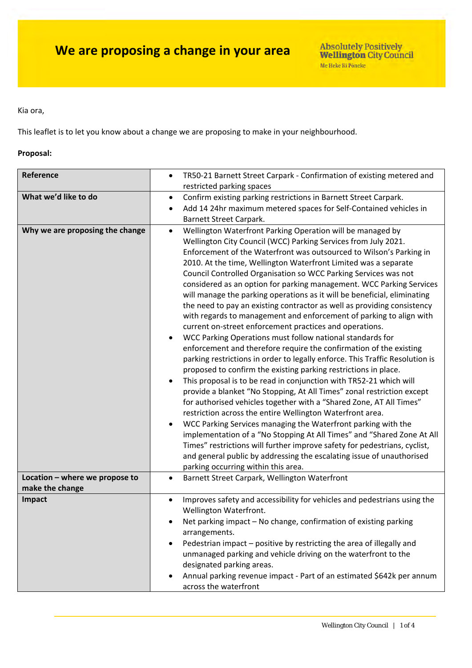#### Kia ora,

This leaflet is to let you know about a change we are proposing to make in your neighbourhood.

### **Proposal:**

| Reference                                                         | TR50-21 Barnett Street Carpark - Confirmation of existing metered and<br>$\bullet$<br>restricted parking spaces                                                                                                                                                                                                                                                                                                                                                                                                                                                                                                                                                                                                                                                                                                                                                                                                                                                                                                                                                                                                                                                                                                                                                                                                                                                                                                                                                                                                                                                                                                                                                                                 |  |  |
|-------------------------------------------------------------------|-------------------------------------------------------------------------------------------------------------------------------------------------------------------------------------------------------------------------------------------------------------------------------------------------------------------------------------------------------------------------------------------------------------------------------------------------------------------------------------------------------------------------------------------------------------------------------------------------------------------------------------------------------------------------------------------------------------------------------------------------------------------------------------------------------------------------------------------------------------------------------------------------------------------------------------------------------------------------------------------------------------------------------------------------------------------------------------------------------------------------------------------------------------------------------------------------------------------------------------------------------------------------------------------------------------------------------------------------------------------------------------------------------------------------------------------------------------------------------------------------------------------------------------------------------------------------------------------------------------------------------------------------------------------------------------------------|--|--|
| What we'd like to do                                              | Confirm existing parking restrictions in Barnett Street Carpark.<br>$\bullet$<br>Add 14 24hr maximum metered spaces for Self-Contained vehicles in<br>Barnett Street Carpark.                                                                                                                                                                                                                                                                                                                                                                                                                                                                                                                                                                                                                                                                                                                                                                                                                                                                                                                                                                                                                                                                                                                                                                                                                                                                                                                                                                                                                                                                                                                   |  |  |
| Why we are proposing the change<br>Location - where we propose to | Wellington Waterfront Parking Operation will be managed by<br>$\bullet$<br>Wellington City Council (WCC) Parking Services from July 2021.<br>Enforcement of the Waterfront was outsourced to Wilson's Parking in<br>2010. At the time, Wellington Waterfront Limited was a separate<br>Council Controlled Organisation so WCC Parking Services was not<br>considered as an option for parking management. WCC Parking Services<br>will manage the parking operations as it will be beneficial, eliminating<br>the need to pay an existing contractor as well as providing consistency<br>with regards to management and enforcement of parking to align with<br>current on-street enforcement practices and operations.<br>WCC Parking Operations must follow national standards for<br>enforcement and therefore require the confirmation of the existing<br>parking restrictions in order to legally enforce. This Traffic Resolution is<br>proposed to confirm the existing parking restrictions in place.<br>This proposal is to be read in conjunction with TR52-21 which will<br>provide a blanket "No Stopping, At All Times" zonal restriction except<br>for authorised vehicles together with a "Shared Zone, AT All Times"<br>restriction across the entire Wellington Waterfront area.<br>WCC Parking Services managing the Waterfront parking with the<br>implementation of a "No Stopping At All Times" and "Shared Zone At All<br>Times" restrictions will further improve safety for pedestrians, cyclist,<br>and general public by addressing the escalating issue of unauthorised<br>parking occurring within this area.<br>Barnett Street Carpark, Wellington Waterfront<br>٠ |  |  |
| make the change                                                   |                                                                                                                                                                                                                                                                                                                                                                                                                                                                                                                                                                                                                                                                                                                                                                                                                                                                                                                                                                                                                                                                                                                                                                                                                                                                                                                                                                                                                                                                                                                                                                                                                                                                                                 |  |  |
| Impact                                                            | Improves safety and accessibility for vehicles and pedestrians using the<br>Wellington Waterfront.<br>Net parking impact - No change, confirmation of existing parking<br>arrangements.<br>Pedestrian impact - positive by restricting the area of illegally and<br>unmanaged parking and vehicle driving on the waterfront to the<br>designated parking areas.<br>Annual parking revenue impact - Part of an estimated \$642k per annum<br>across the waterfront                                                                                                                                                                                                                                                                                                                                                                                                                                                                                                                                                                                                                                                                                                                                                                                                                                                                                                                                                                                                                                                                                                                                                                                                                               |  |  |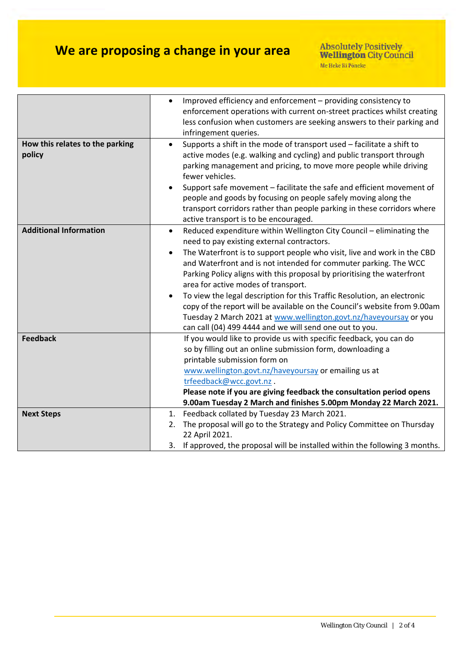# **We are proposing a change in your area**

|                                           | Improved efficiency and enforcement - providing consistency to<br>enforcement operations with current on-street practices whilst creating<br>less confusion when customers are seeking answers to their parking and                                                                                                                                                                                                                                                                                                                                       |
|-------------------------------------------|-----------------------------------------------------------------------------------------------------------------------------------------------------------------------------------------------------------------------------------------------------------------------------------------------------------------------------------------------------------------------------------------------------------------------------------------------------------------------------------------------------------------------------------------------------------|
|                                           | infringement queries.                                                                                                                                                                                                                                                                                                                                                                                                                                                                                                                                     |
| How this relates to the parking<br>policy | Supports a shift in the mode of transport used - facilitate a shift to<br>$\bullet$<br>active modes (e.g. walking and cycling) and public transport through<br>parking management and pricing, to move more people while driving<br>fewer vehicles.<br>Support safe movement - facilitate the safe and efficient movement of<br>people and goods by focusing on people safely moving along the<br>transport corridors rather than people parking in these corridors where<br>active transport is to be encouraged.                                        |
| <b>Additional Information</b>             | Reduced expenditure within Wellington City Council - eliminating the<br>$\bullet$<br>need to pay existing external contractors.<br>The Waterfront is to support people who visit, live and work in the CBD<br>and Waterfront and is not intended for commuter parking. The WCC<br>Parking Policy aligns with this proposal by prioritising the waterfront<br>area for active modes of transport.<br>To view the legal description for this Traffic Resolution, an electronic<br>copy of the report will be available on the Council's website from 9.00am |
|                                           | Tuesday 2 March 2021 at www.wellington.govt.nz/haveyoursay or you                                                                                                                                                                                                                                                                                                                                                                                                                                                                                         |
|                                           | can call (04) 499 4444 and we will send one out to you.                                                                                                                                                                                                                                                                                                                                                                                                                                                                                                   |
| <b>Feedback</b>                           | If you would like to provide us with specific feedback, you can do<br>so by filling out an online submission form, downloading a<br>printable submission form on<br>www.wellington.govt.nz/haveyoursay or emailing us at                                                                                                                                                                                                                                                                                                                                  |
|                                           | trfeedback@wcc.govt.nz.                                                                                                                                                                                                                                                                                                                                                                                                                                                                                                                                   |
|                                           | Please note if you are giving feedback the consultation period opens                                                                                                                                                                                                                                                                                                                                                                                                                                                                                      |
|                                           | 9.00am Tuesday 2 March and finishes 5.00pm Monday 22 March 2021.                                                                                                                                                                                                                                                                                                                                                                                                                                                                                          |
| <b>Next Steps</b>                         | 1. Feedback collated by Tuesday 23 March 2021.                                                                                                                                                                                                                                                                                                                                                                                                                                                                                                            |
|                                           | The proposal will go to the Strategy and Policy Committee on Thursday<br>2.<br>22 April 2021.                                                                                                                                                                                                                                                                                                                                                                                                                                                             |
|                                           | 3. If approved, the proposal will be installed within the following 3 months.                                                                                                                                                                                                                                                                                                                                                                                                                                                                             |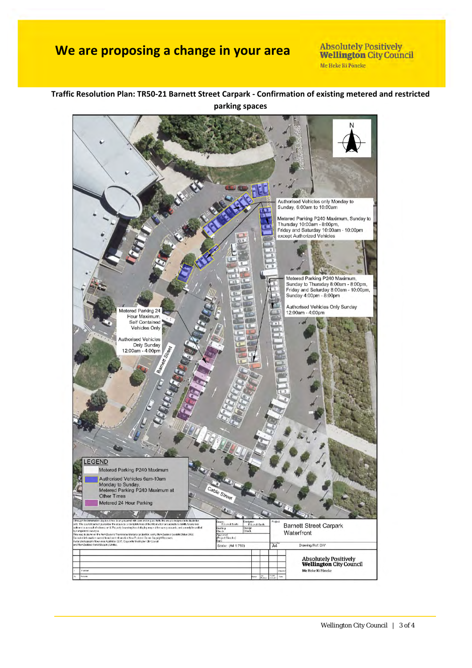### **We are proposing a change in your area**

**Absolutely Positively Wellington City Council** Me Heke Ki Pôneke

### **Traffic Resolution Plan: TR50‐21 Barnett Street Carpark ‐ Confirmation of existing metered and restricted parking spaces**